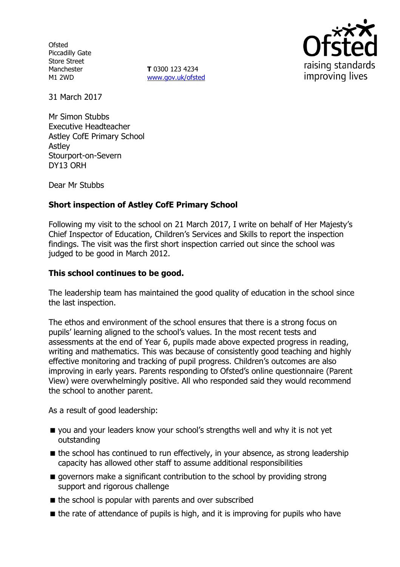**Ofsted** Piccadilly Gate Store Street Manchester M1 2WD

**T** 0300 123 4234 www.gov.uk/ofsted



31 March 2017

Mr Simon Stubbs Executive Headteacher Astley CofE Primary School Astley Stourport-on-Severn DY13 ORH

Dear Mr Stubbs

### **Short inspection of Astley CofE Primary School**

Following my visit to the school on 21 March 2017, I write on behalf of Her Majesty's Chief Inspector of Education, Children's Services and Skills to report the inspection findings. The visit was the first short inspection carried out since the school was judged to be good in March 2012.

### **This school continues to be good.**

The leadership team has maintained the good quality of education in the school since the last inspection.

The ethos and environment of the school ensures that there is a strong focus on pupils' learning aligned to the school's values. In the most recent tests and assessments at the end of Year 6, pupils made above expected progress in reading, writing and mathematics. This was because of consistently good teaching and highly effective monitoring and tracking of pupil progress. Children's outcomes are also improving in early years. Parents responding to Ofsted's online questionnaire (Parent View) were overwhelmingly positive. All who responded said they would recommend the school to another parent.

As a result of good leadership:

- you and your leaders know your school's strengths well and why it is not yet outstanding
- $\blacksquare$  the school has continued to run effectively, in your absence, as strong leadership capacity has allowed other staff to assume additional responsibilities
- **g** governors make a significant contribution to the school by providing strong support and rigorous challenge
- $\blacksquare$  the school is popular with parents and over subscribed
- $\blacksquare$  the rate of attendance of pupils is high, and it is improving for pupils who have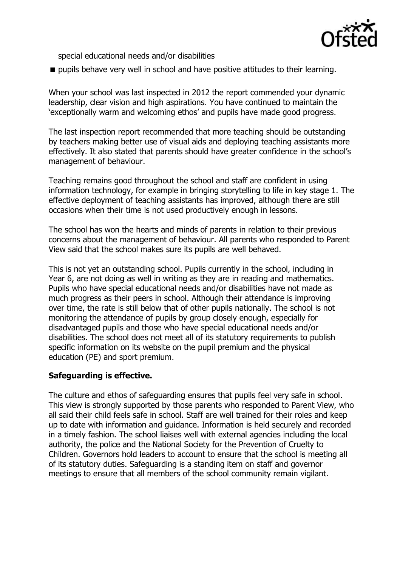

special educational needs and/or disabilities

**pupils behave very well in school and have positive attitudes to their learning.** 

When your school was last inspected in 2012 the report commended your dynamic leadership, clear vision and high aspirations. You have continued to maintain the 'exceptionally warm and welcoming ethos' and pupils have made good progress.

The last inspection report recommended that more teaching should be outstanding by teachers making better use of visual aids and deploying teaching assistants more effectively. It also stated that parents should have greater confidence in the school's management of behaviour.

Teaching remains good throughout the school and staff are confident in using information technology, for example in bringing storytelling to life in key stage 1. The effective deployment of teaching assistants has improved, although there are still occasions when their time is not used productively enough in lessons.

The school has won the hearts and minds of parents in relation to their previous concerns about the management of behaviour. All parents who responded to Parent View said that the school makes sure its pupils are well behaved.

This is not yet an outstanding school. Pupils currently in the school, including in Year 6, are not doing as well in writing as they are in reading and mathematics. Pupils who have special educational needs and/or disabilities have not made as much progress as their peers in school. Although their attendance is improving over time, the rate is still below that of other pupils nationally. The school is not monitoring the attendance of pupils by group closely enough, especially for disadvantaged pupils and those who have special educational needs and/or disabilities. The school does not meet all of its statutory requirements to publish specific information on its website on the pupil premium and the physical education (PE) and sport premium.

# **Safeguarding is effective.**

The culture and ethos of safeguarding ensures that pupils feel very safe in school. This view is strongly supported by those parents who responded to Parent View, who all said their child feels safe in school. Staff are well trained for their roles and keep up to date with information and guidance. Information is held securely and recorded in a timely fashion. The school liaises well with external agencies including the local authority, the police and the National Society for the Prevention of Cruelty to Children. Governors hold leaders to account to ensure that the school is meeting all of its statutory duties. Safeguarding is a standing item on staff and governor meetings to ensure that all members of the school community remain vigilant.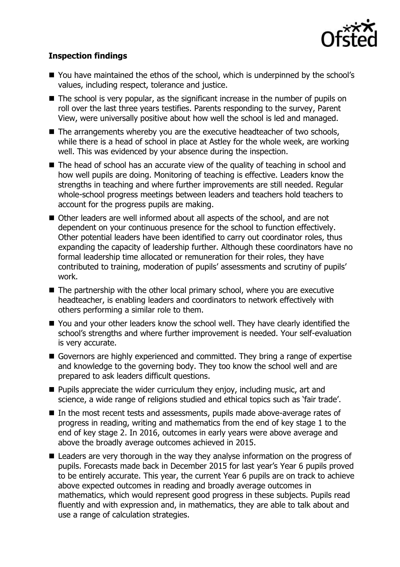

## **Inspection findings**

- You have maintained the ethos of the school, which is underpinned by the school's values, including respect, tolerance and justice.
- $\blacksquare$  The school is very popular, as the significant increase in the number of pupils on roll over the last three years testifies. Parents responding to the survey, Parent View, were universally positive about how well the school is led and managed.
- The arrangements whereby you are the executive headteacher of two schools, while there is a head of school in place at Astley for the whole week, are working well. This was evidenced by your absence during the inspection.
- The head of school has an accurate view of the quality of teaching in school and how well pupils are doing. Monitoring of teaching is effective. Leaders know the strengths in teaching and where further improvements are still needed. Regular whole-school progress meetings between leaders and teachers hold teachers to account for the progress pupils are making.
- Other leaders are well informed about all aspects of the school, and are not dependent on your continuous presence for the school to function effectively. Other potential leaders have been identified to carry out coordinator roles, thus expanding the capacity of leadership further. Although these coordinators have no formal leadership time allocated or remuneration for their roles, they have contributed to training, moderation of pupils' assessments and scrutiny of pupils' work.
- The partnership with the other local primary school, where you are executive headteacher, is enabling leaders and coordinators to network effectively with others performing a similar role to them.
- You and your other leaders know the school well. They have clearly identified the school's strengths and where further improvement is needed. Your self-evaluation is very accurate.
- Governors are highly experienced and committed. They bring a range of expertise and knowledge to the governing body. They too know the school well and are prepared to ask leaders difficult questions.
- **Pupils appreciate the wider curriculum they enjoy, including music, art and** science, a wide range of religions studied and ethical topics such as 'fair trade'.
- In the most recent tests and assessments, pupils made above-average rates of progress in reading, writing and mathematics from the end of key stage 1 to the end of key stage 2. In 2016, outcomes in early years were above average and above the broadly average outcomes achieved in 2015.
- Leaders are very thorough in the way they analyse information on the progress of pupils. Forecasts made back in December 2015 for last year's Year 6 pupils proved to be entirely accurate. This year, the current Year 6 pupils are on track to achieve above expected outcomes in reading and broadly average outcomes in mathematics, which would represent good progress in these subjects. Pupils read fluently and with expression and, in mathematics, they are able to talk about and use a range of calculation strategies.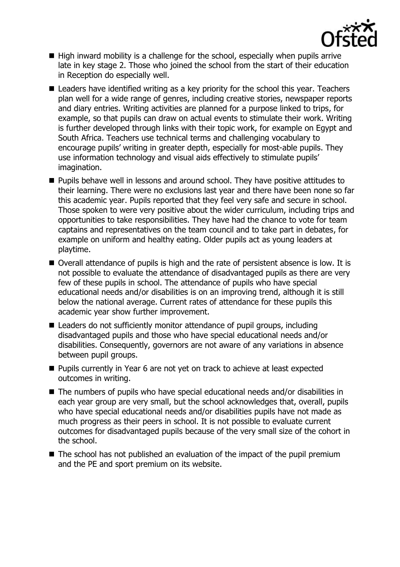

- $\blacksquare$  High inward mobility is a challenge for the school, especially when pupils arrive late in key stage 2. Those who joined the school from the start of their education in Reception do especially well.
- Leaders have identified writing as a key priority for the school this year. Teachers plan well for a wide range of genres, including creative stories, newspaper reports and diary entries. Writing activities are planned for a purpose linked to trips, for example, so that pupils can draw on actual events to stimulate their work. Writing is further developed through links with their topic work, for example on Egypt and South Africa. Teachers use technical terms and challenging vocabulary to encourage pupils' writing in greater depth, especially for most-able pupils. They use information technology and visual aids effectively to stimulate pupils' imagination.
- **Pupils behave well in lessons and around school. They have positive attitudes to** their learning. There were no exclusions last year and there have been none so far this academic year. Pupils reported that they feel very safe and secure in school. Those spoken to were very positive about the wider curriculum, including trips and opportunities to take responsibilities. They have had the chance to vote for team captains and representatives on the team council and to take part in debates, for example on uniform and healthy eating. Older pupils act as young leaders at playtime.
- Overall attendance of pupils is high and the rate of persistent absence is low. It is not possible to evaluate the attendance of disadvantaged pupils as there are very few of these pupils in school. The attendance of pupils who have special educational needs and/or disabilities is on an improving trend, although it is still below the national average. Current rates of attendance for these pupils this academic year show further improvement.
- Leaders do not sufficiently monitor attendance of pupil groups, including disadvantaged pupils and those who have special educational needs and/or disabilities. Consequently, governors are not aware of any variations in absence between pupil groups.
- **Pupils currently in Year 6 are not yet on track to achieve at least expected** outcomes in writing.
- The numbers of pupils who have special educational needs and/or disabilities in each year group are very small, but the school acknowledges that, overall, pupils who have special educational needs and/or disabilities pupils have not made as much progress as their peers in school. It is not possible to evaluate current outcomes for disadvantaged pupils because of the very small size of the cohort in the school.
- The school has not published an evaluation of the impact of the pupil premium and the PE and sport premium on its website.